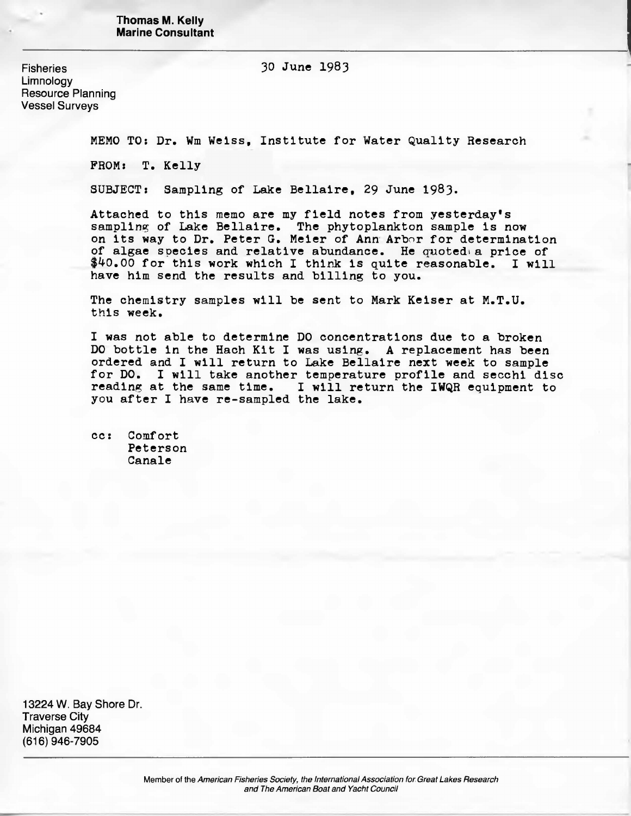**Thomas M. Kelly Marine Consultant**

Fisheries 30 June 1983

Limnology Resource Planning Vessel Surveys

MEMO TO: Dr. Wm Weiss, Institute for Water Quality Research

FROM: T. Kelly

SUBJECT: Sampling of Lake Bellaire, 29 June 1983.

Attached to this memo are my field notes from yesterday's sampling of Lake Bellaire. The phytoplankton sample is now on its way to Dr. Peter G. Meier of Ann Arbor for determination of algae species and relative abundance. He quoted a price of  $$40.00$  for this work which I think is quite reasonable. I will have him send the results and billing to you.

The chemistry samples will be sent to Mark Keiser at M.T.U. this week.

I was not able to determine DO concentrations due to a broken DO bottle in the Hach Kit I was using. A replacement has been ordered and I will return to Lake Bellaire next week to sample for DO. I will take another temperature profile and secchi disc reading at the same time. I will return the IWQR equipment to you after I have re-sampled the lake.

cc: Comfort Peterson Canale

13224 W. Bay Shore Dr. Traverse City Michigan 49684 (616) 946-7905